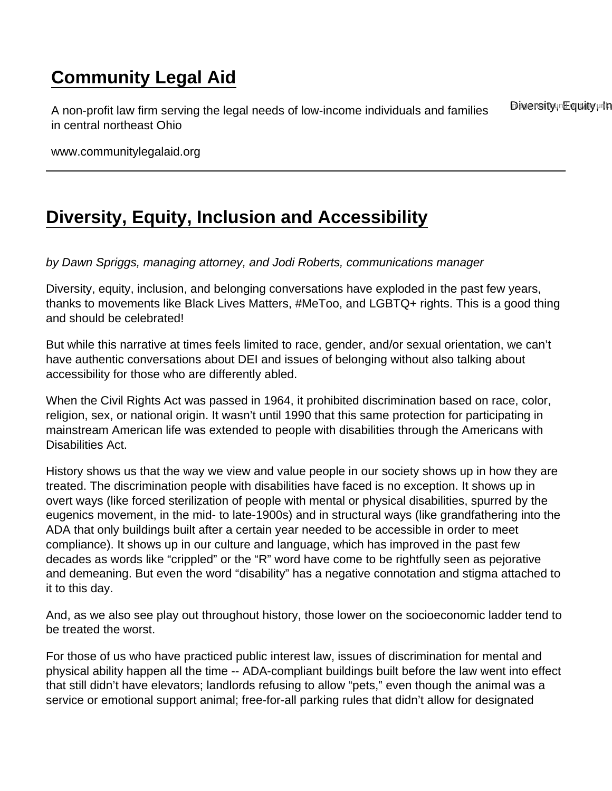## [Community Legal Aid](https://www.communitylegalaid.org/)

A non-profit law firm serving the legal needs of low-income individuals and families in central northeast Ohio Diversity Founty unknown

www.communitylegalaid.org

## [Diversity, Equity, Inclusion and Accessibility](https://www.communitylegalaid.org/node/1699/diversity-equity-inclusion-and-accessibility)

by Dawn Spriggs, managing attorney, and Jodi Roberts, communications manager

Diversity, equity, inclusion, and belonging conversations have exploded in the past few years, thanks to movements like Black Lives Matters, #MeToo, and LGBTQ+ rights. This is a good thing and should be celebrated!

But while this narrative at times feels limited to race, gender, and/or sexual orientation, we can't have authentic conversations about DEI and issues of belonging without also talking about accessibility for those who are differently abled.

When the Civil Rights Act was passed in 1964, it prohibited discrimination based on race, color, religion, sex, or national origin. It wasn't until 1990 that this same protection for participating in mainstream American life was extended to people with disabilities through the Americans with Disabilities Act.

History shows us that the way we view and value people in our society shows up in how they are treated. The discrimination people with disabilities have faced is no exception. It shows up in overt ways (like forced sterilization of people with mental or physical disabilities, spurred by the eugenics movement, in the mid- to late-1900s) and in structural ways (like grandfathering into the ADA that only buildings built after a certain year needed to be accessible in order to meet compliance). It shows up in our culture and language, which has improved in the past few decades as words like "crippled" or the "R" word have come to be rightfully seen as pejorative and demeaning. But even the word "disability" has a negative connotation and stigma attached to it to this day.

And, as we also see play out throughout history, those lower on the socioeconomic ladder tend to be treated the worst.

For those of us who have practiced public interest law, issues of discrimination for mental and physical ability happen all the time -- ADA-compliant buildings built before the law went into effect that still didn't have elevators; landlords refusing to allow "pets," even though the animal was a service or emotional support animal; free-for-all parking rules that didn't allow for designated